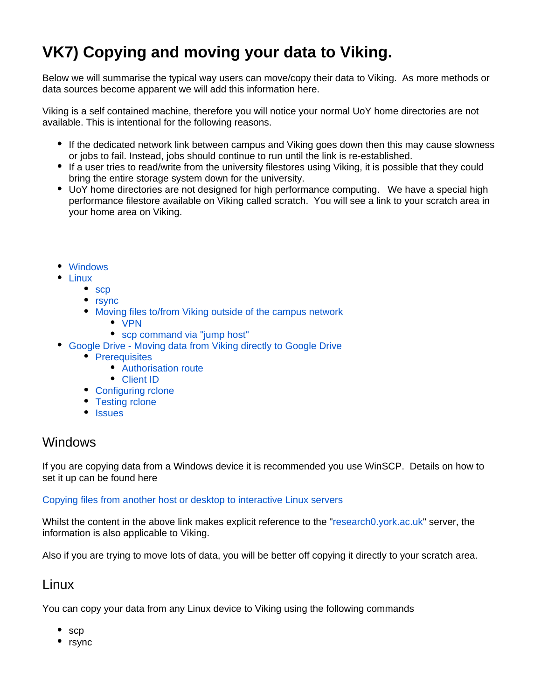# **VK7) Copying and moving your data to Viking.**

Below we will summarise the typical way users can move/copy their data to Viking. As more methods or data sources become apparent we will add this information here.

Viking is a self contained machine, therefore you will notice your normal UoY home directories are not available. This is intentional for the following reasons.

- If the dedicated network link between campus and Viking goes down then this may cause slowness or jobs to fail. Instead, jobs should continue to run until the link is re-established.
- If a user tries to read/write from the university filestores using Viking, it is possible that they could bring the entire storage system down for the university.
- UoY home directories are not designed for high performance computing. We have a special high performance filestore available on Viking called scratch. You will see a link to your scratch area in your home area on Viking.
- [Windows](#page-0-0)
- [Linux](#page-0-1)
	- [scp](#page-1-0)
	- [rsync](#page-1-1)
	- [Moving files to/from Viking outside of the campus network](#page-1-2)
		- [VPN](#page-1-3)
		- [scp command via "jump host"](#page-2-0)
- [Google Drive Moving data from Viking directly to Google Drive](#page-2-1)
	- [Prerequisites](#page-2-2)
		- [Authorisation route](#page-2-3)
		- [Client ID](#page-3-0)
	- [Configuring rclone](#page-3-1)
	- [Testing rclone](#page-4-0)
	- [Issues](#page-4-1)

## <span id="page-0-0"></span>Windows

If you are copying data from a Windows device it is recommended you use WinSCP. Details on how to set it up can be found here

#### [Copying files from another host or desktop to interactive Linux servers](https://wiki.york.ac.uk/x/8IgKDQ)

Whilst the content in the above link makes explicit reference to the "[research0.york.ac.uk"](http://research0.york.ac.uk) server, the information is also applicable to Viking.

Also if you are trying to move lots of data, you will be better off copying it directly to your scratch area.

### <span id="page-0-1"></span>Linux

You can copy your data from any Linux device to Viking using the following commands

- scp
- $•$  rsync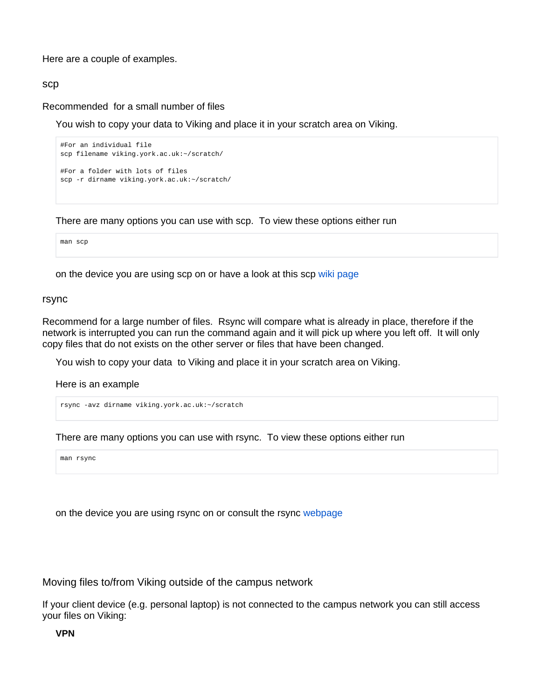Here are a couple of examples.

#### <span id="page-1-0"></span>scp

Recommended for a small number of files

You wish to copy your data to Viking and place it in your scratch area on Viking.

```
#For an individual file
scp filename viking.york.ac.uk:~/scratch/ 
#For a folder with lots of files
scp -r dirname viking.york.ac.uk:~/scratch/
```
There are many options you can use with scp. To view these options either run

man scp

on the device you are using scp on or have a look at this scp [wiki page](https://en.wikipedia.org/wiki/Secure_copy)

#### <span id="page-1-1"></span>rsync

Recommend for a large number of files. Rsync will compare what is already in place, therefore if the network is interrupted you can run the command again and it will pick up where you left off. It will only copy files that do not exists on the other server or files that have been changed.

You wish to copy your data to Viking and place it in your scratch area on Viking.

Here is an example

rsync -avz dirname viking.york.ac.uk:~/scratch

There are many options you can use with rsync. To view these options either run

man rsync

on the device you are using rsync on or consult the rsync [webpage](https://rsync.samba.org/)

<span id="page-1-2"></span>Moving files to/from Viking outside of the campus network

<span id="page-1-3"></span>If your client device (e.g. personal laptop) is not connected to the campus network you can still access your files on Viking:

**VPN**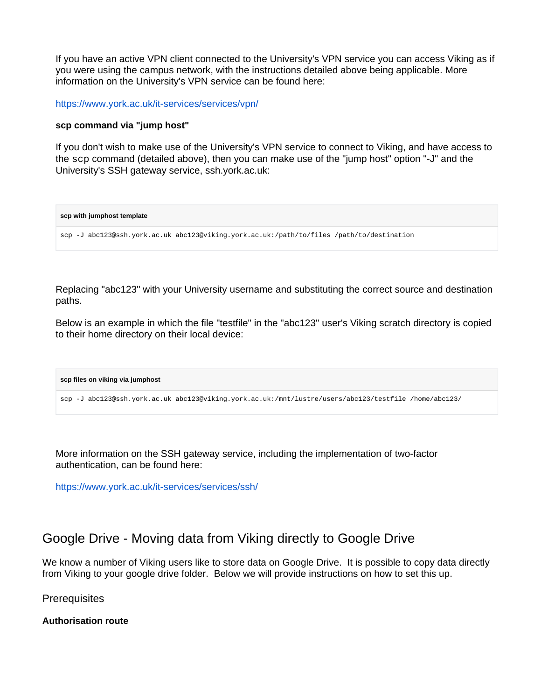If you have an active VPN client connected to the University's VPN service you can access Viking as if you were using the campus network, with the instructions detailed above being applicable. More information on the University's VPN service can be found here:

<https://www.york.ac.uk/it-services/services/vpn/>

#### <span id="page-2-0"></span>**scp command via "jump host"**

If you don't wish to make use of the University's VPN service to connect to Viking, and have access to the scp command (detailed above), then you can make use of the "jump host" option "-J" and the University's SSH gateway service, ssh.york.ac.uk:

**scp with jumphost template** scp -J abc123@ssh.york.ac.uk abc123@viking.york.ac.uk:/path/to/files /path/to/destination

Replacing "abc123" with your University username and substituting the correct source and destination paths.

Below is an example in which the file "testfile" in the "abc123" user's Viking scratch directory is copied to their home directory on their local device:

**scp files on viking via jumphost**

scp -J abc123@ssh.york.ac.uk abc123@viking.york.ac.uk:/mnt/lustre/users/abc123/testfile /home/abc123/

More information on the SSH gateway service, including the implementation of two-factor authentication, can be found here:

<https://www.york.ac.uk/it-services/services/ssh/>

# <span id="page-2-1"></span>Google Drive - Moving data from Viking directly to Google Drive

We know a number of Viking users like to store data on Google Drive. It is possible to copy data directly from Viking to your google drive folder. Below we will provide instructions on how to set this up.

<span id="page-2-2"></span>**Prerequisites** 

<span id="page-2-3"></span>**Authorisation route**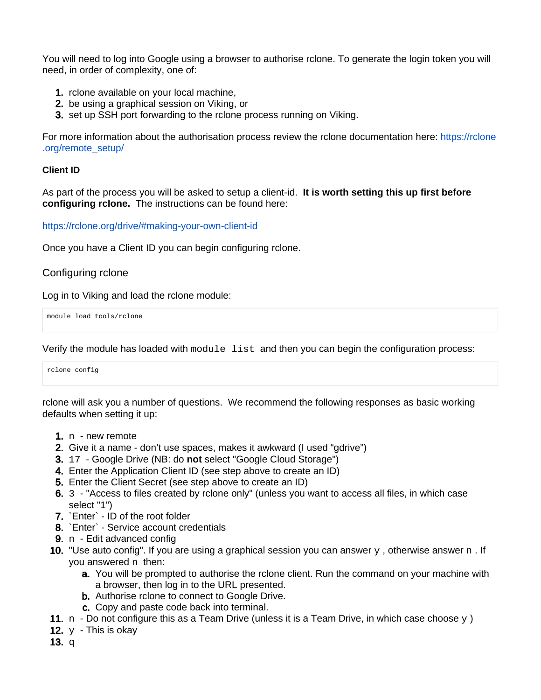You will need to log into Google using a browser to authorise rclone. To generate the login token you will need, in order of complexity, one of:

- 1. rclone available on your local machine,
- 2. be using a graphical session on Viking, or
- 3. set up SSH port forwarding to the rclone process running on Viking.

For more information about the authorisation process review the rclone documentation here: [https://rclone](https://rclone.org/remote_setup/) [.org/remote\\_setup/](https://rclone.org/remote_setup/)

### <span id="page-3-0"></span>**Client ID**

As part of the process you will be asked to setup a client-id. **It is worth setting this up first before configuring rclone.** The instructions can be found here:

<https://rclone.org/drive/#making-your-own-client-id>

Once you have a Client ID you can begin configuring rclone.

### <span id="page-3-1"></span>Configuring rclone

Log in to Viking and load the rclone module:

module load tools/rclone

Verify the module has loaded with module list and then you can begin the configuration process:

```
rclone config
```
rclone will ask you a number of questions. We recommend the following responses as basic working defaults when setting it up:

- 1. n new remote
- 2. Give it a name don't use spaces, makes it awkward (I used "gdrive")
- 3. 17 Google Drive (NB: do **not** select "Google Cloud Storage")
- 4. Enter the Application Client ID (see step above to create an ID)
- 5. Enter the Client Secret (see step above to create an ID)
- 6. 3 "Access to files created by rclone only" (unless you want to access all files, in which case select "1")
- 7. `Enter` ID of the root folder
- 8. `Enter` Service account credentials
- 9. n Edit advanced config
- **10.** "Use auto config". If you are using a graphical session you can answer  $\gamma$ , otherwise answer  $n$ . If you answered n then:
	- **a.** You will be prompted to authorise the rclone client. Run the command on your machine with a browser, then log in to the URL presented.
	- **b.** Authorise rclone to connect to Google Drive.
	- c. Copy and paste code back into terminal.
- 11.  $\,$ n Do not configure this as a Team Drive (unless it is a Team Drive, in which case choose  $\rm _Y$ )
- **12.**  $y$  This is okay
- 13. q